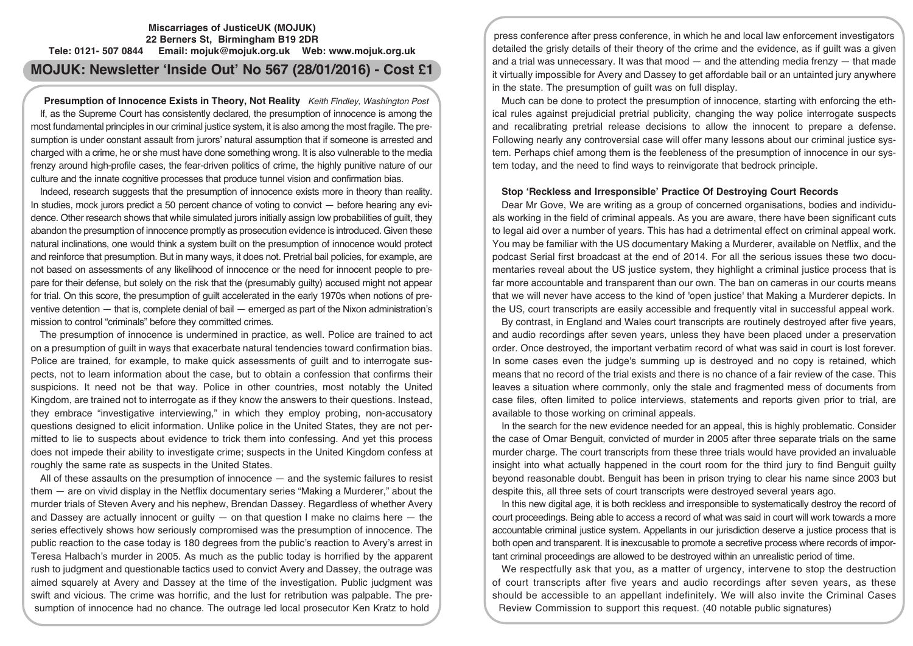## **Miscarriages of JusticeUK (MOJUK) 22 Berners St, Birmingham B19 2DR Tele: 0121- 507 0844 Email: mojuk@mojuk.org.uk Web: www.mojuk.org.uk**

# **MOJUK: Newsletter 'Inside Out' No 567 (28/01/2016) - Cost £1**

**Presumption of Innocence Exists in Theory, Not Reality** *Keith Findley, Washington Post* If, as the Supreme Court has consistently declared, the presumption of innocence is among the most fundamental principles in our criminal justice system, it is also among the most fragile. The presumption is under constant assault from jurors' natural assumption that if someone is arrested and charged with a crime, he or she must have done something wrong. It is also vulnerable to the media frenzy around high-profile cases, the fear-driven politics of crime, the highly punitive nature of our culture and the innate cognitive processes that produce tunnel vision and confirmation bias.

Indeed, research suggests that the presumption of innocence exists more in theory than reality. In studies, mock jurors predict a 50 percent chance of voting to convict — before hearing any evidence. Other research shows that while simulated jurors initially assign low probabilities of guilt, they abandon the presumption of innocence promptly as prosecution evidence is introduced. Given these natural inclinations, one would think a system built on the presumption of innocence would protect and reinforce that presumption. But in many ways, it does not. Pretrial bail policies, for example, are not based on assessments of any likelihood of innocence or the need for innocent people to prepare for their defense, but solely on the risk that the (presumably guilty) accused might not appear for trial. On this score, the presumption of guilt accelerated in the early 1970s when notions of preventive detention — that is, complete denial of bail — emerged as part of the Nixon administration's mission to control "criminals" before they committed crimes.

The presumption of innocence is undermined in practice, as well. Police are trained to act on a presumption of guilt in ways that exacerbate natural tendencies toward confirmation bias. Police are trained, for example, to make quick assessments of guilt and to interrogate suspects, not to learn information about the case, but to obtain a confession that confirms their suspicions. It need not be that way. Police in other countries, most notably the United Kingdom, are trained not to interrogate as if they know the answers to their questions. Instead, they embrace "investigative interviewing," in which they employ probing, non-accusatory questions designed to elicit information. Unlike police in the United States, they are not permitted to lie to suspects about evidence to trick them into confessing. And yet this process does not impede their ability to investigate crime; suspects in the United Kingdom confess at roughly the same rate as suspects in the United States.

All of these assaults on the presumption of innocence — and the systemic failures to resist them — are on vivid display in the Netflix documentary series "Making a Murderer," about the murder trials of Steven Avery and his nephew, Brendan Dassey. Regardless of whether Avery and Dassey are actually innocent or guilty  $-$  on that question I make no claims here  $-$  the series effectively shows how seriously compromised was the presumption of innocence. The public reaction to the case today is 180 degrees from the public's reaction to Avery's arrest in Teresa Halbach's murder in 2005. As much as the public today is horrified by the apparent rush to judgment and questionable tactics used to convict Avery and Dassey, the outrage was aimed squarely at Avery and Dassey at the time of the investigation. Public judgment was swift and vicious. The crime was horrific, and the lust for retribution was palpable. The presumption of innocence had no chance. The outrage led local prosecutor Ken Kratz to hold

press conference after press conference, in which he and local law enforcement investigators detailed the grisly details of their theory of the crime and the evidence, as if guilt was a given and a trial was unnecessary. It was that mood  $-$  and the attending media frenzy  $-$  that made it virtually impossible for Avery and Dassey to get affordable bail or an untainted jury anywhere in the state. The presumption of guilt was on full display.

Much can be done to protect the presumption of innocence, starting with enforcing the ethical rules against prejudicial pretrial publicity, changing the way police interrogate suspects and recalibrating pretrial release decisions to allow the innocent to prepare a defense. Following nearly any controversial case will offer many lessons about our criminal justice system. Perhaps chief among them is the feebleness of the presumption of innocence in our system today, and the need to find ways to reinvigorate that bedrock principle.

## **Stop 'Reckless and Irresponsible' Practice Of Destroying Court Records**

Dear Mr Gove, We are writing as a group of concerned organisations, bodies and individuals working in the field of criminal appeals. As you are aware, there have been significant cuts to legal aid over a number of years. This has had a detrimental effect on criminal appeal work. You may be familiar with the US documentary Making a Murderer, available on Netflix, and the podcast Serial first broadcast at the end of 2014. For all the serious issues these two documentaries reveal about the US justice system, they highlight a criminal justice process that is far more accountable and transparent than our own. The ban on cameras in our courts means that we will never have access to the kind of 'open justice' that Making a Murderer depicts. In the US, court transcripts are easily accessible and frequently vital in successful appeal work.

By contrast, in England and Wales court transcripts are routinely destroyed after five years, and audio recordings after seven years, unless they have been placed under a preservation order. Once destroyed, the important verbatim record of what was said in court is lost forever. In some cases even the judge's summing up is destroyed and no copy is retained, which means that no record of the trial exists and there is no chance of a fair review of the case. This leaves a situation where commonly, only the stale and fragmented mess of documents from case files, often limited to police interviews, statements and reports given prior to trial, are available to those working on criminal appeals.

In the search for the new evidence needed for an appeal, this is highly problematic. Consider the case of Omar Benguit, convicted of murder in 2005 after three separate trials on the same murder charge. The court transcripts from these three trials would have provided an invaluable insight into what actually happened in the court room for the third jury to find Benguit guilty beyond reasonable doubt. Benguit has been in prison trying to clear his name since 2003 but despite this, all three sets of court transcripts were destroyed several years ago.

In this new digital age, it is both reckless and irresponsible to systematically destroy the record of court proceedings. Being able to access a record of what was said in court will work towards a more accountable criminal justice system. Appellants in our jurisdiction deserve a justice process that is both open and transparent. It is inexcusable to promote a secretive process where records of important criminal proceedings are allowed to be destroyed within an unrealistic period of time.

We respectfully ask that you, as a matter of urgency, intervene to stop the destruction of court transcripts after five years and audio recordings after seven years, as these should be accessible to an appellant indefinitely. We will also invite the Criminal Cases Review Commission to support this request. (40 notable public signatures)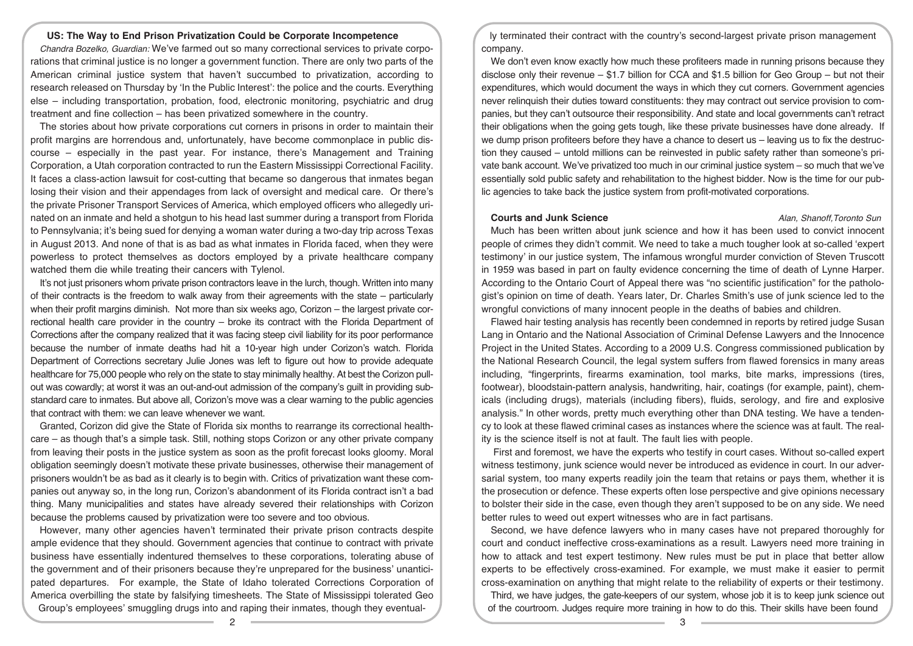#### **US: The Way to End Prison Privatization Could be Corporate Incompetence**

*Chandra Bozelko, Guardian:* We've farmed out so many correctional services to private corporations that criminal justice is no longer a government function. There are only two parts of the American criminal justice system that haven't succumbed to privatization, according to research released on Thursday by 'In the Public Interest': the police and the courts. Everything else – including transportation, probation, food, electronic monitoring, psychiatric and drug treatment and fine collection – has been privatized somewhere in the country.

The stories about how private corporations cut corners in prisons in order to maintain their profit margins are horrendous and, unfortunately, have become commonplace in public discourse – especially in the past year. For instance, there's Management and Training Corporation, a Utah corporation contracted to run the Eastern Mississippi Correctional Facility. It faces a class-action lawsuit for cost-cutting that became so dangerous that inmates began losing their vision and their appendages from lack of oversight and medical care. Or there's the private Prisoner Transport Services of America, which employed officers who allegedly urinated on an inmate and held a shotgun to his head last summer during a transport from Florida to Pennsylvania; it's being sued for denying a woman water during a two-day trip across Texas in August 2013. And none of that is as bad as what inmates in Florida faced, when they were powerless to protect themselves as doctors employed by a private healthcare company watched them die while treating their cancers with Tylenol.

It's not just prisoners whom private prison contractors leave in the lurch, though. Written into many of their contracts is the freedom to walk away from their agreements with the state – particularly when their profit margins diminish. Not more than six weeks ago, Corizon – the largest private correctional health care provider in the country – broke its contract with the Florida Department of Corrections after the company realized that it was facing steep civil liability for its poor performance because the number of inmate deaths had hit a 10-year high under Corizon's watch. Florida Department of Corrections secretary Julie Jones was left to figure out how to provide adequate healthcare for 75,000 people who rely on the state to stay minimally healthy. At best the Corizon pullout was cowardly; at worst it was an out-and-out admission of the company's guilt in providing substandard care to inmates. But above all, Corizon's move was a clear warning to the public agencies that contract with them: we can leave whenever we want.

Granted, Corizon did give the State of Florida six months to rearrange its correctional healthcare – as though that's a simple task. Still, nothing stops Corizon or any other private company from leaving their posts in the justice system as soon as the profit forecast looks gloomy. Moral obligation seemingly doesn't motivate these private businesses, otherwise their management of prisoners wouldn't be as bad as it clearly is to begin with. Critics of privatization want these companies out anyway so, in the long run, Corizon's abandonment of its Florida contract isn't a bad thing. Many municipalities and states have already severed their relationships with Corizon because the problems caused by privatization were too severe and too obvious.

However, many other agencies haven't terminated their private prison contracts despite ample evidence that they should. Government agencies that continue to contract with private business have essentially indentured themselves to these corporations, tolerating abuse of the government and of their prisoners because they're unprepared for the business' unanticipated departures. For example, the State of Idaho tolerated Corrections Corporation of America overbilling the state by falsifying timesheets. The State of Mississippi tolerated Geo Group's employees' smuggling drugs into and raping their inmates, though they eventual-

ly terminated their contract with the country's second-largest private prison management company.

We don't even know exactly how much these profiteers made in running prisons because they disclose only their revenue – \$1.7 billion for CCA and \$1.5 billion for Geo Group – but not their expenditures, which would document the ways in which they cut corners. Government agencies never relinquish their duties toward constituents: they may contract out service provision to companies, but they can't outsource their responsibility. And state and local governments can't retract their obligations when the going gets tough, like these private businesses have done already. If we dump prison profiteers before they have a chance to desert us – leaving us to fix the destruction they caused – untold millions can be reinvested in public safety rather than someone's private bank account. We've privatized too much in our criminal justice system – so much that we've essentially sold public safety and rehabilitation to the highest bidder. Now is the time for our public agencies to take back the justice system from profit-motivated corporations.

#### **Courts and Junk Science** *Alan, Shanoff,Toronto Sun*

Much has been written about junk science and how it has been used to convict innocent people of crimes they didn't commit. We need to take a much tougher look at so-called 'expert testimony' in our justice system, The infamous wrongful murder conviction of Steven Truscott in 1959 was based in part on faulty evidence concerning the time of death of Lynne Harper. According to the Ontario Court of Appeal there was "no scientific justification" for the pathologist's opinion on time of death. Years later, Dr. Charles Smith's use of junk science led to the wrongful convictions of many innocent people in the deaths of babies and children.

Flawed hair testing analysis has recently been condemned in reports by retired judge Susan Lang in Ontario and the National Association of Criminal Defense Lawyers and the Innocence Project in the United States. According to a 2009 U.S. Congress commissioned publication by the National Research Council, the legal system suffers from flawed forensics in many areas including, "fingerprints, firearms examination, tool marks, bite marks, impressions (tires, footwear), bloodstain-pattern analysis, handwriting, hair, coatings (for example, paint), chemicals (including drugs), materials (including fibers), fluids, serology, and fire and explosive analysis." In other words, pretty much everything other than DNA testing. We have a tendency to look at these flawed criminal cases as instances where the science was at fault. The reality is the science itself is not at fault. The fault lies with people.

First and foremost, we have the experts who testify in court cases. Without so-called expert witness testimony, junk science would never be introduced as evidence in court. In our adversarial system, too many experts readily join the team that retains or pays them, whether it is the prosecution or defence. These experts often lose perspective and give opinions necessary to bolster their side in the case, even though they aren't supposed to be on any side. We need better rules to weed out expert witnesses who are in fact partisans.

Second, we have defence lawyers who in many cases have not prepared thoroughly for court and conduct ineffective cross-examinations as a result. Lawyers need more training in how to attack and test expert testimony. New rules must be put in place that better allow experts to be effectively cross-examined. For example, we must make it easier to permit cross-examination on anything that might relate to the reliability of experts or their testimony.

Third, we have judges, the gate-keepers of our system, whose job it is to keep junk science out of the courtroom. Judges require more training in how to do this. Their skills have been found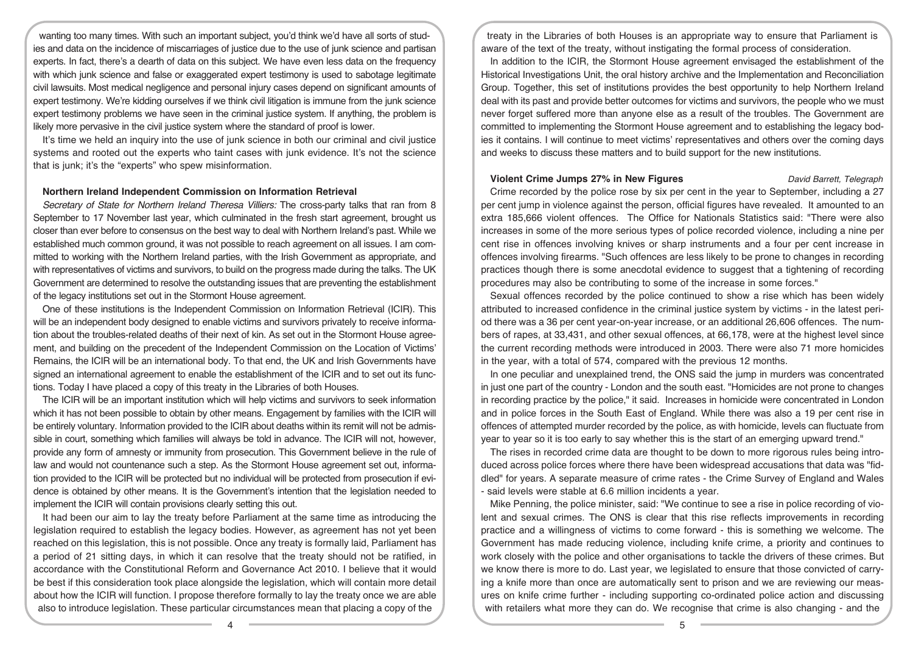wanting too many times. With such an important subject, you'd think we'd have all sorts of studies and data on the incidence of miscarriages of justice due to the use of junk science and partisan experts. In fact, there's a dearth of data on this subject. We have even less data on the frequency with which junk science and false or exaggerated expert testimony is used to sabotage legitimate civil lawsuits. Most medical negligence and personal injury cases depend on significant amounts of expert testimony. We're kidding ourselves if we think civil litigation is immune from the junk science expert testimony problems we have seen in the criminal justice system. If anything, the problem is likely more pervasive in the civil justice system where the standard of proof is lower.

It's time we held an inquiry into the use of junk science in both our criminal and civil justice systems and rooted out the experts who taint cases with junk evidence. It's not the science that is junk; it's the "experts" who spew misinformation.

#### **Northern Ireland Independent Commission on Information Retrieval**

*Secretary of State for Northern Ireland Theresa Villiers:* The cross-party talks that ran from 8 September to 17 November last year, which culminated in the fresh start agreement, brought us closer than ever before to consensus on the best way to deal with Northern Ireland's past. While we established much common ground, it was not possible to reach agreement on all issues. I am committed to working with the Northern Ireland parties, with the Irish Government as appropriate, and with representatives of victims and survivors, to build on the progress made during the talks. The UK Government are determined to resolve the outstanding issues that are preventing the establishment of the legacy institutions set out in the Stormont House agreement.

One of these institutions is the Independent Commission on Information Retrieval (ICIR). This will be an independent body designed to enable victims and survivors privately to receive information about the troubles-related deaths of their next of kin. As set out in the Stormont House agreement, and building on the precedent of the Independent Commission on the Location of Victims' Remains, the ICIR will be an international body. To that end, the UK and Irish Governments have signed an international agreement to enable the establishment of the ICIR and to set out its functions. Today I have placed a copy of this treaty in the Libraries of both Houses.

The ICIR will be an important institution which will help victims and survivors to seek information which it has not been possible to obtain by other means. Engagement by families with the ICIR will be entirely voluntary. Information provided to the ICIR about deaths within its remit will not be admissible in court, something which families will always be told in advance. The ICIR will not, however, provide any form of amnesty or immunity from prosecution. This Government believe in the rule of law and would not countenance such a step. As the Stormont House agreement set out, information provided to the ICIR will be protected but no individual will be protected from prosecution if evidence is obtained by other means. It is the Government's intention that the legislation needed to implement the ICIR will contain provisions clearly setting this out.

It had been our aim to lay the treaty before Parliament at the same time as introducing the legislation required to establish the legacy bodies. However, as agreement has not yet been reached on this legislation, this is not possible. Once any treaty is formally laid, Parliament has a period of 21 sitting days, in which it can resolve that the treaty should not be ratified, in accordance with the Constitutional Reform and Governance Act 2010. I believe that it would be best if this consideration took place alongside the legislation, which will contain more detail about how the ICIR will function. I propose therefore formally to lay the treaty once we are able also to introduce legislation. These particular circumstances mean that placing a copy of the

treaty in the Libraries of both Houses is an appropriate way to ensure that Parliament is aware of the text of the treaty, without instigating the formal process of consideration.

In addition to the ICIR, the Stormont House agreement envisaged the establishment of the Historical Investigations Unit, the oral history archive and the Implementation and Reconciliation Group. Together, this set of institutions provides the best opportunity to help Northern Ireland deal with its past and provide better outcomes for victims and survivors, the people who we must never forget suffered more than anyone else as a result of the troubles. The Government are committed to implementing the Stormont House agreement and to establishing the legacy bodies it contains. I will continue to meet victims' representatives and others over the coming days and weeks to discuss these matters and to build support for the new institutions.

#### **Violent Crime Jumps 27% in New Figures** *David Barrett, Telegraph*

Crime recorded by the police rose by six per cent in the year to September, including a 27 per cent jump in violence against the person, official figures have revealed. It amounted to an extra 185,666 violent offences. The Office for Nationals Statistics said: "There were also increases in some of the more serious types of police recorded violence, including a nine per cent rise in offences involving knives or sharp instruments and a four per cent increase in offences involving firearms. "Such offences are less likely to be prone to changes in recording practices though there is some anecdotal evidence to suggest that a tightening of recording procedures may also be contributing to some of the increase in some forces."

Sexual offences recorded by the police continued to show a rise which has been widely attributed to increased confidence in the criminal justice system by victims - in the latest period there was a 36 per cent year-on-year increase, or an additional 26,606 offences. The numbers of rapes, at 33,431, and other sexual offences, at 66,178, were at the highest level since the current recording methods were introduced in 2003. There were also 71 more homicides in the year, with a total of 574, compared with the previous 12 months.

In one peculiar and unexplained trend, the ONS said the jump in murders was concentrated in just one part of the country - London and the south east. "Homicides are not prone to changes in recording practice by the police," it said. Increases in homicide were concentrated in London and in police forces in the South East of England. While there was also a 19 per cent rise in offences of attempted murder recorded by the police, as with homicide, levels can fluctuate from year to year so it is too early to say whether this is the start of an emerging upward trend."

The rises in recorded crime data are thought to be down to more rigorous rules being introduced across police forces where there have been widespread accusations that data was "fiddled" for years. A separate measure of crime rates - the Crime Survey of England and Wales - said levels were stable at 6.6 million incidents a year.

Mike Penning, the police minister, said: "We continue to see a rise in police recording of violent and sexual crimes. The ONS is clear that this rise reflects improvements in recording practice and a willingness of victims to come forward - this is something we welcome. The Government has made reducing violence, including knife crime, a priority and continues to work closely with the police and other organisations to tackle the drivers of these crimes. But we know there is more to do. Last year, we legislated to ensure that those convicted of carrying a knife more than once are automatically sent to prison and we are reviewing our measures on knife crime further - including supporting co-ordinated police action and discussing with retailers what more they can do. We recognise that crime is also changing - and the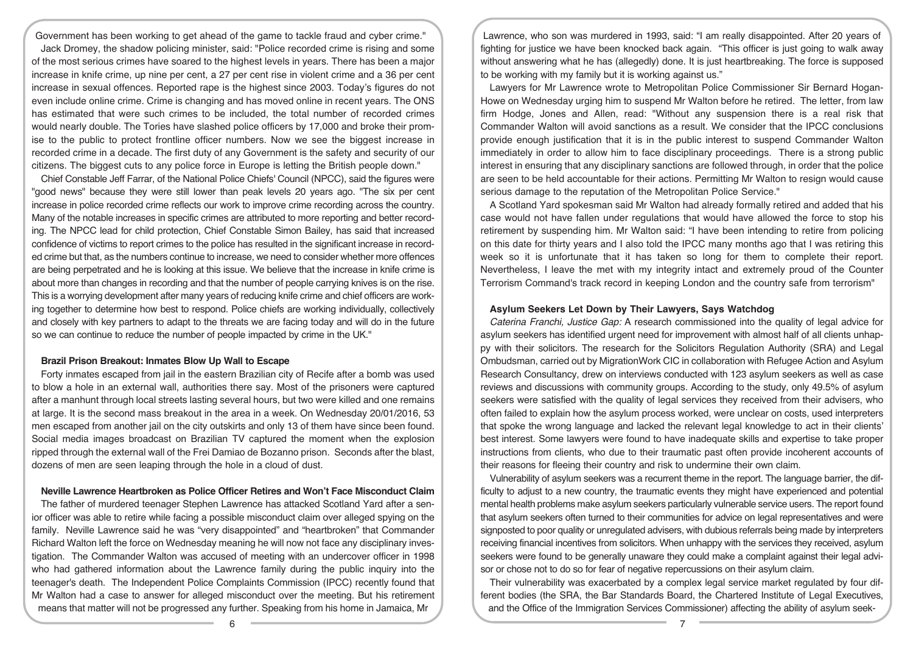Government has been working to get ahead of the game to tackle fraud and cyber crime." Jack Dromey, the shadow policing minister, said: "Police recorded crime is rising and some of the most serious crimes have soared to the highest levels in years. There has been a major increase in knife crime, up nine per cent, a 27 per cent rise in violent crime and a 36 per cent increase in sexual offences. Reported rape is the highest since 2003. Today's figures do not even include online crime. Crime is changing and has moved online in recent years. The ONS has estimated that were such crimes to be included, the total number of recorded crimes would nearly double. The Tories have slashed police officers by 17,000 and broke their promise to the public to protect frontline officer numbers. Now we see the biggest increase in recorded crime in a decade. The first duty of any Government is the safety and security of our citizens. The biggest cuts to any police force in Europe is letting the British people down."

Chief Constable Jeff Farrar, of the National Police Chiefs' Council (NPCC), said the figures were "good news" because they were still lower than peak levels 20 years ago. "The six per cent increase in police recorded crime reflects our work to improve crime recording across the country. Many of the notable increases in specific crimes are attributed to more reporting and better recording. The NPCC lead for child protection, Chief Constable Simon Bailey, has said that increased confidence of victims to report crimes to the police has resulted in the significant increase in recorded crime but that, as the numbers continue to increase, we need to consider whether more offences are being perpetrated and he is looking at this issue. We believe that the increase in knife crime is about more than changes in recording and that the number of people carrying knives is on the rise. This is a worrying development after many years of reducing knife crime and chief officers are working together to determine how best to respond. Police chiefs are working individually, collectively and closely with key partners to adapt to the threats we are facing today and will do in the future so we can continue to reduce the number of people impacted by crime in the UK."

## **Brazil Prison Breakout: Inmates Blow Up Wall to Escape**

Forty inmates escaped from jail in the eastern Brazilian city of Recife after a bomb was used to blow a hole in an external wall, authorities there say. Most of the prisoners were captured after a manhunt through local streets lasting several hours, but two were killed and one remains at large. It is the second mass breakout in the area in a week. On Wednesday 20/01/2016, 53 men escaped from another jail on the city outskirts and only 13 of them have since been found. Social media images broadcast on Brazilian TV captured the moment when the explosion ripped through the external wall of the Frei Damiao de Bozanno prison. Seconds after the blast, dozens of men are seen leaping through the hole in a cloud of dust.

# **Neville Lawrence Heartbroken as Police Officer Retires and Won't Face Misconduct Claim**

The father of murdered teenager Stephen Lawrence has attacked Scotland Yard after a senior officer was able to retire while facing a possible misconduct claim over alleged spying on the family. Neville Lawrence said he was "very disappointed" and "heartbroken" that Commander Richard Walton left the force on Wednesday meaning he will now not face any disciplinary investigation. The Commander Walton was accused of meeting with an undercover officer in 1998 who had gathered information about the Lawrence family during the public inquiry into the teenager's death. The Independent Police Complaints Commission (IPCC) recently found that Mr Walton had a case to answer for alleged misconduct over the meeting. But his retirement means that matter will not be progressed any further. Speaking from his home in Jamaica, Mr

Lawrence, who son was murdered in 1993, said: "I am really disappointed. After 20 years of fighting for justice we have been knocked back again. "This officer is just going to walk away without answering what he has (allegedly) done. It is just heartbreaking. The force is supposed to be working with my family but it is working against us."

Lawyers for Mr Lawrence wrote to Metropolitan Police Commissioner Sir Bernard Hogan-Howe on Wednesday urging him to suspend Mr Walton before he retired. The letter, from law firm Hodge, Jones and Allen, read: "Without any suspension there is a real risk that Commander Walton will avoid sanctions as a result. We consider that the IPCC conclusions provide enough justification that it is in the public interest to suspend Commander Walton immediately in order to allow him to face disciplinary proceedings. There is a strong public interest in ensuring that any disciplinary sanctions are followed through, in order that the police are seen to be held accountable for their actions. Permitting Mr Walton to resign would cause serious damage to the reputation of the Metropolitan Police Service."

A Scotland Yard spokesman said Mr Walton had already formally retired and added that his case would not have fallen under regulations that would have allowed the force to stop his retirement by suspending him. Mr Walton said: "I have been intending to retire from policing on this date for thirty years and I also told the IPCC many months ago that I was retiring this week so it is unfortunate that it has taken so long for them to complete their report. Nevertheless, I leave the met with my integrity intact and extremely proud of the Counter Terrorism Command's track record in keeping London and the country safe from terrorism"

#### **Asylum Seekers Let Down by Their Lawyers, Says Watchdog**

*Caterina Franchi, Justice Gap:* A research commissioned into the quality of legal advice for asylum seekers has identified urgent need for improvement with almost half of all clients unhappy with their solicitors. The research for the Solicitors Regulation Authority (SRA) and Legal Ombudsman, carried out by MigrationWork CIC in collaboration with Refugee Action and Asylum Research Consultancy, drew on interviews conducted with 123 asylum seekers as well as case reviews and discussions with community groups. According to the study, only 49.5% of asylum seekers were satisfied with the quality of legal services they received from their advisers, who often failed to explain how the asylum process worked, were unclear on costs, used interpreters that spoke the wrong language and lacked the relevant legal knowledge to act in their clients' best interest. Some lawyers were found to have inadequate skills and expertise to take proper instructions from clients, who due to their traumatic past often provide incoherent accounts of their reasons for fleeing their country and risk to undermine their own claim.

Vulnerability of asylum seekers was a recurrent theme in the report. The language barrier, the difficulty to adjust to a new country, the traumatic events they might have experienced and potential mental health problems make asylum seekers particularly vulnerable service users. The report found that asylum seekers often turned to their communities for advice on legal representatives and were signposted to poor quality or unregulated advisers, with dubious referrals being made by interpreters receiving financial incentives from solicitors. When unhappy with the services they received, asylum seekers were found to be generally unaware they could make a complaint against their legal advisor or chose not to do so for fear of negative repercussions on their asylum claim.

Their vulnerability was exacerbated by a complex legal service market regulated by four different bodies (the SRA, the Bar Standards Board, the Chartered Institute of Legal Executives, and the Office of the Immigration Services Commissioner) affecting the ability of asylum seek-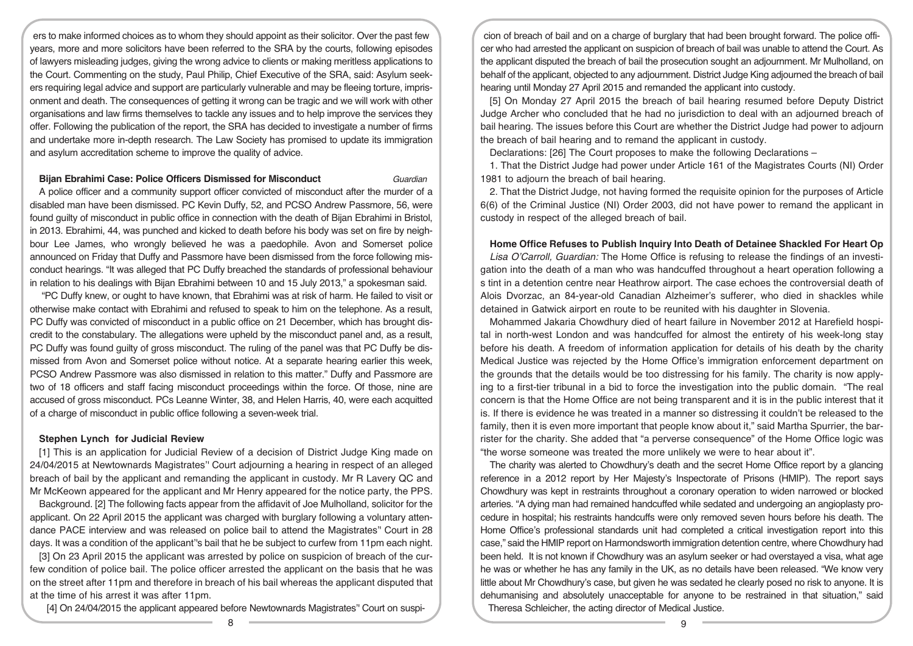ers to make informed choices as to whom they should appoint as their solicitor. Over the past few years, more and more solicitors have been referred to the SRA by the courts, following episodes of lawyers misleading judges, giving the wrong advice to clients or making meritless applications to the Court. Commenting on the study, Paul Philip, Chief Executive of the SRA, said: Asylum seekers requiring legal advice and support are particularly vulnerable and may be fleeing torture, imprisonment and death. The consequences of getting it wrong can be tragic and we will work with other organisations and law firms themselves to tackle any issues and to help improve the services they offer. Following the publication of the report, the SRA has decided to investigate a number of firms and undertake more in-depth research. The Law Society has promised to update its immigration and asylum accreditation scheme to improve the quality of advice.

#### **Bijan Ebrahimi Case: Police Officers Dismissed for Misconduct** *Guardian*

A police officer and a community support officer convicted of misconduct after the murder of a disabled man have been dismissed. PC Kevin Duffy, 52, and PCSO Andrew Passmore, 56, were found guilty of misconduct in public office in connection with the death of Bijan Ebrahimi in Bristol, in 2013. Ebrahimi, 44, was punched and kicked to death before his body was set on fire by neighbour Lee James, who wrongly believed he was a paedophile. Avon and Somerset police announced on Friday that Duffy and Passmore have been dismissed from the force following misconduct hearings. "It was alleged that PC Duffy breached the standards of professional behaviour in relation to his dealings with Bijan Ebrahimi between 10 and 15 July 2013," a spokesman said.

"PC Duffy knew, or ought to have known, that Ebrahimi was at risk of harm. He failed to visit or otherwise make contact with Ebrahimi and refused to speak to him on the telephone. As a result, PC Duffy was convicted of misconduct in a public office on 21 December, which has brought discredit to the constabulary. The allegations were upheld by the misconduct panel and, as a result, PC Duffy was found guilty of gross misconduct. The ruling of the panel was that PC Duffy be dismissed from Avon and Somerset police without notice. At a separate hearing earlier this week, PCSO Andrew Passmore was also dismissed in relation to this matter." Duffy and Passmore are two of 18 officers and staff facing misconduct proceedings within the force. Of those, nine are accused of gross misconduct. PCs Leanne Winter, 38, and Helen Harris, 40, were each acquitted of a charge of misconduct in public office following a seven-week trial.

# **Stephen Lynch for Judicial Review**

[1] This is an application for Judicial Review of a decision of District Judge King made on 24/04/2015 at Newtownards Magistrates'' Court adjourning a hearing in respect of an alleged breach of bail by the applicant and remanding the applicant in custody. Mr R Lavery QC and Mr McKeown appeared for the applicant and Mr Henry appeared for the notice party, the PPS.

Background. [2] The following facts appear from the affidavit of Joe Mulholland, solicitor for the applicant. On 22 April 2015 the applicant was charged with burglary following a voluntary attendance PACE interview and was released on police bail to attend the Magistrates'' Court in 28 days. It was a condition of the applicant''s bail that he be subject to curfew from 11pm each night.

[3] On 23 April 2015 the applicant was arrested by police on suspicion of breach of the curfew condition of police bail. The police officer arrested the applicant on the basis that he was on the street after 11pm and therefore in breach of his bail whereas the applicant disputed that at the time of his arrest it was after 11pm.

[4] On 24/04/2015 the applicant appeared before Newtownards Magistrates'' Court on suspi-

cion of breach of bail and on a charge of burglary that had been brought forward. The police officer who had arrested the applicant on suspicion of breach of bail was unable to attend the Court. As the applicant disputed the breach of bail the prosecution sought an adjournment. Mr Mulholland, on behalf of the applicant, objected to any adjournment. District Judge King adjourned the breach of bail hearing until Monday 27 April 2015 and remanded the applicant into custody.

[5] On Monday 27 April 2015 the breach of bail hearing resumed before Deputy District Judge Archer who concluded that he had no jurisdiction to deal with an adjourned breach of bail hearing. The issues before this Court are whether the District Judge had power to adjourn the breach of bail hearing and to remand the applicant in custody.

Declarations: [26] The Court proposes to make the following Declarations –

1. That the District Judge had power under Article 161 of the Magistrates Courts (NI) Order 1981 to adjourn the breach of bail hearing.

2. That the District Judge, not having formed the requisite opinion for the purposes of Article 6(6) of the Criminal Justice (NI) Order 2003, did not have power to remand the applicant in custody in respect of the alleged breach of bail.

# **Home Office Refuses to Publish Inquiry Into Death of Detainee Shackled For Heart Op**

*Lisa O'Carroll, Guardian:* The Home Office is refusing to release the findings of an investigation into the death of a man who was handcuffed throughout a heart operation following a s tint in a detention centre near Heathrow airport. The case echoes the controversial death of Alois Dvorzac, an 84-year-old Canadian Alzheimer's sufferer, who died in shackles while detained in Gatwick airport en route to be reunited with his daughter in Slovenia.

Mohammed Jakaria Chowdhury died of heart failure in November 2012 at Harefield hospital in north-west London and was handcuffed for almost the entirety of his week-long stay before his death. A freedom of information application for details of his death by the charity Medical Justice was rejected by the Home Office's immigration enforcement department on the grounds that the details would be too distressing for his family. The charity is now applying to a first-tier tribunal in a bid to force the investigation into the public domain. "The real concern is that the Home Office are not being transparent and it is in the public interest that it is. If there is evidence he was treated in a manner so distressing it couldn't be released to the family, then it is even more important that people know about it," said Martha Spurrier, the barrister for the charity. She added that "a perverse consequence" of the Home Office logic was "the worse someone was treated the more unlikely we were to hear about it".

The charity was alerted to Chowdhury's death and the secret Home Office report by a glancing reference in a 2012 report by Her Majesty's Inspectorate of Prisons (HMIP). The report says Chowdhury was kept in restraints throughout a coronary operation to widen narrowed or blocked arteries. "A dying man had remained handcuffed while sedated and undergoing an angioplasty procedure in hospital; his restraints handcuffs were only removed seven hours before his death. The Home Office's professional standards unit had completed a critical investigation report into this case," said the HMIP report on Harmondsworth immigration detention centre, where Chowdhury had been held. It is not known if Chowdhury was an asylum seeker or had overstayed a visa, what age he was or whether he has any family in the UK, as no details have been released. "We know very little about Mr Chowdhury's case, but given he was sedated he clearly posed no risk to anyone. It is dehumanising and absolutely unacceptable for anyone to be restrained in that situation," said Theresa Schleicher, the acting director of Medical Justice.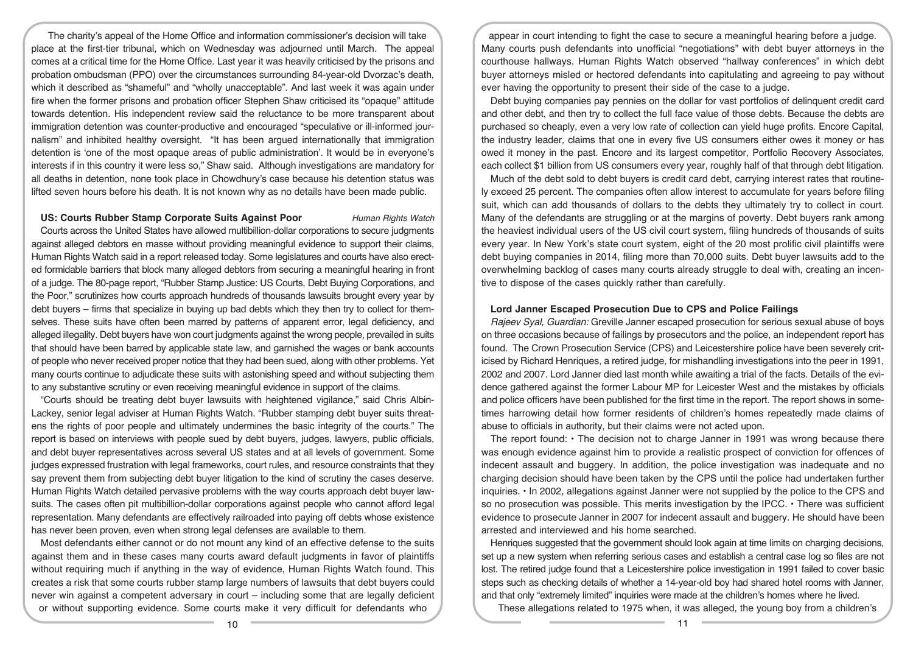The charity's appeal of the Home Office and information commissioner's decision will take place at the first-tier tribunal, which on Wednesday was adjourned until March. The appeal comes at a critical time for the Home Office. Last year it was heavily criticised by the prisons and probation ombudsman (PPO) over the circumstances surrounding 84-year-old Dvorzac's death, which it described as "shameful" and "wholly unacceptable". And last week it was again under fire when the former prisons and probation officer Stephen Shaw criticised its "opaque" attitude towards detention. His independent review said the reluctance to be more transparent about immigration detention was counter-productive and encouraged "speculative or ill-informed journalism" and inhibited healthy oversight. "It has been argued internationally that immigration detention is 'one of the most opaque areas of public administration'. It would be in everyone's interests if in this country it were less so," Shaw said. Although investigations are mandatory for all deaths in detention, none took place in Chowdhury's case because his detention status was lifted seven hours before his death. It is not known why as no details have been made public.

**US: Courts Rubber Stamp Corporate Suits Against Poor** *Human Rights Watch*

Courts across the United States have allowed multibillion-dollar corporations to secure judgments against alleged debtors en masse without providing meaningful evidence to support their claims, Human Rights Watch said in a report released today. Some legislatures and courts have also erected formidable barriers that block many alleged debtors from securing a meaningful hearing in front of a judge. The 80-page report, "Rubber Stamp Justice: US Courts, Debt Buying Corporations, and the Poor," scrutinizes how courts approach hundreds of thousands lawsuits brought every year by debt buyers – firms that specialize in buying up bad debts which they then try to collect for themselves. These suits have often been marred by patterns of apparent error, legal deficiency, and alleged illegality. Debt buyers have won court judgments against the wrong people, prevailed in suits that should have been barred by applicable state law, and garnished the wages or bank accounts of people who never received proper notice that they had been sued, along with other problems. Yet many courts continue to adjudicate these suits with astonishing speed and without subjecting them to any substantive scrutiny or even receiving meaningful evidence in support of the claims.

"Courts should be treating debt buyer lawsuits with heightened vigilance," said Chris Albin-Lackey, senior legal adviser at Human Rights Watch. "Rubber stamping debt buyer suits threatens the rights of poor people and ultimately undermines the basic integrity of the courts." The report is based on interviews with people sued by debt buyers, judges, lawyers, public officials, and debt buyer representatives across several US states and at all levels of government. Some judges expressed frustration with legal frameworks, court rules, and resource constraints that they say prevent them from subjecting debt buyer litigation to the kind of scrutiny the cases deserve. Human Rights Watch detailed pervasive problems with the way courts approach debt buyer lawsuits. The cases often pit multibillion-dollar corporations against people who cannot afford legal representation. Many defendants are effectively railroaded into paying off debts whose existence has never been proven, even when strong legal defenses are available to them.

Most defendants either cannot or do not mount any kind of an effective defense to the suits against them and in these cases many courts award default judgments in favor of plaintiffs without requiring much if anything in the way of evidence. Human Rights Watch found. This creates a risk that some courts rubber stamp large numbers of lawsuits that debt buyers could never win against a competent adversary in court – including some that are legally deficient or without supporting evidence. Some courts make it very difficult for defendants who

appear in court intending to fight the case to secure a meaningful hearing before a judge. Many courts push defendants into unofficial "negotiations" with debt buyer attorneys in the courthouse hallways. Human Rights Watch observed "hallway conferences" in which debt buyer attorneys misled or hectored defendants into capitulating and agreeing to pay without ever having the opportunity to present their side of the case to a judge.

Debt buying companies pay pennies on the dollar for vast portfolios of delinquent credit card and other debt, and then try to collect the full face value of those debts. Because the debts are purchased so cheaply, even a very low rate of collection can yield huge profits. Encore Capital, the industry leader, claims that one in every five US consumers either owes it money or has owed it money in the past. Encore and its largest competitor, Portfolio Recovery Associates, each collect \$1 billion from US consumers every year, roughly half of that through debt litigation.

Much of the debt sold to debt buyers is credit card debt, carrying interest rates that routinely exceed 25 percent. The companies often allow interest to accumulate for years before filing suit, which can add thousands of dollars to the debts they ultimately try to collect in court. Many of the defendants are struggling or at the margins of poverty. Debt buyers rank among the heaviest individual users of the US civil court system, filing hundreds of thousands of suits every year. In New York's state court system, eight of the 20 most prolific civil plaintiffs were debt buying companies in 2014, filing more than 70,000 suits. Debt buyer lawsuits add to the overwhelming backlog of cases many courts already struggle to deal with, creating an incentive to dispose of the cases quickly rather than carefully.

# **Lord Janner Escaped Prosecution Due to CPS and Police Failings**

*Rajeev Syal, Guardian:* Greville Janner escaped prosecution for serious sexual abuse of boys on three occasions because of failings by prosecutors and the police, an independent report has found. The Crown Prosecution Service (CPS) and Leicestershire police have been severely criticised by Richard Henriques, a retired judge, for mishandling investigations into the peer in 1991, 2002 and 2007. Lord Janner died last month while awaiting a trial of the facts. Details of the evidence gathered against the former Labour MP for Leicester West and the mistakes by officials and police officers have been published for the first time in the report. The report shows in sometimes harrowing detail how former residents of children's homes repeatedly made claims of abuse to officials in authority, but their claims were not acted upon.

The report found: • The decision not to charge Janner in 1991 was wrong because there was enough evidence against him to provide a realistic prospect of conviction for offences of indecent assault and buggery. In addition, the police investigation was inadequate and no charging decision should have been taken by the CPS until the police had undertaken further inquiries. • In 2002, allegations against Janner were not supplied by the police to the CPS and so no prosecution was possible. This merits investigation by the IPCC. • There was sufficient evidence to prosecute Janner in 2007 for indecent assault and buggery. He should have been arrested and interviewed and his home searched.

Henriques suggested that the government should look again at time limits on charging decisions, set up a new system when referring serious cases and establish a central case log so files are not lost. The retired judge found that a Leicestershire police investigation in 1991 failed to cover basic steps such as checking details of whether a 14-year-old boy had shared hotel rooms with Janner, and that only "extremely limited" inquiries were made at the children's homes where he lived.

These allegations related to 1975 when, it was alleged, the young boy from a children's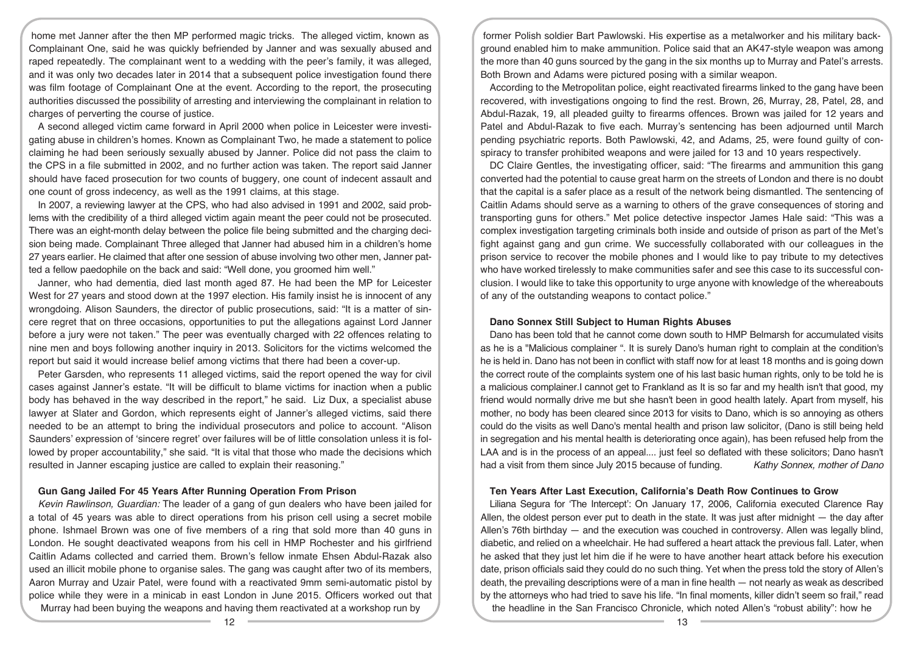home met Janner after the then MP performed magic tricks. The alleged victim, known as Complainant One, said he was quickly befriended by Janner and was sexually abused and raped repeatedly. The complainant went to a wedding with the peer's family, it was alleged, and it was only two decades later in 2014 that a subsequent police investigation found there was film footage of Complainant One at the event. According to the report, the prosecuting authorities discussed the possibility of arresting and interviewing the complainant in relation to charges of perverting the course of justice.

A second alleged victim came forward in April 2000 when police in Leicester were investigating abuse in children's homes. Known as Complainant Two, he made a statement to police claiming he had been seriously sexually abused by Janner. Police did not pass the claim to the CPS in a file submitted in 2002, and no further action was taken. The report said Janner should have faced prosecution for two counts of buggery, one count of indecent assault and one count of gross indecency, as well as the 1991 claims, at this stage.

In 2007, a reviewing lawyer at the CPS, who had also advised in 1991 and 2002, said problems with the credibility of a third alleged victim again meant the peer could not be prosecuted. There was an eight-month delay between the police file being submitted and the charging decision being made. Complainant Three alleged that Janner had abused him in a children's home 27 years earlier. He claimed that after one session of abuse involving two other men, Janner patted a fellow paedophile on the back and said: "Well done, you groomed him well."

Janner, who had dementia, died last month aged 87. He had been the MP for Leicester West for 27 years and stood down at the 1997 election. His family insist he is innocent of any wrongdoing. Alison Saunders, the director of public prosecutions, said: "It is a matter of sincere regret that on three occasions, opportunities to put the allegations against Lord Janner before a jury were not taken." The peer was eventually charged with 22 offences relating to nine men and boys following another inquiry in 2013. Solicitors for the victims welcomed the report but said it would increase belief among victims that there had been a cover-up.

Peter Garsden, who represents 11 alleged victims, said the report opened the way for civil cases against Janner's estate. "It will be difficult to blame victims for inaction when a public body has behaved in the way described in the report," he said. Liz Dux, a specialist abuse lawyer at Slater and Gordon, which represents eight of Janner's alleged victims, said there needed to be an attempt to bring the individual prosecutors and police to account. "Alison Saunders' expression of 'sincere regret' over failures will be of little consolation unless it is followed by proper accountability," she said. "It is vital that those who made the decisions which resulted in Janner escaping justice are called to explain their reasoning."

## **Gun Gang Jailed For 45 Years After Running Operation From Prison**

*Kevin Rawlinson, Guardian:* The leader of a gang of gun dealers who have been jailed for a total of 45 years was able to direct operations from his prison cell using a secret mobile phone. Ishmael Brown was one of five members of a ring that sold more than 40 guns in London. He sought deactivated weapons from his cell in HMP Rochester and his girlfriend Caitlin Adams collected and carried them. Brown's fellow inmate Ehsen Abdul-Razak also used an illicit mobile phone to organise sales. The gang was caught after two of its members, Aaron Murray and Uzair Patel, were found with a reactivated 9mm semi-automatic pistol by police while they were in a minicab in east London in June 2015. Officers worked out that Murray had been buying the weapons and having them reactivated at a workshop run by

former Polish soldier Bart Pawlowski. His expertise as a metalworker and his military background enabled him to make ammunition. Police said that an AK47-style weapon was among the more than 40 guns sourced by the gang in the six months up to Murray and Patel's arrests. Both Brown and Adams were pictured posing with a similar weapon.

According to the Metropolitan police, eight reactivated firearms linked to the gang have been recovered, with investigations ongoing to find the rest. Brown, 26, Murray, 28, Patel, 28, and Abdul-Razak, 19, all pleaded guilty to firearms offences. Brown was jailed for 12 years and Patel and Abdul-Razak to five each. Murray's sentencing has been adjourned until March pending psychiatric reports. Both Pawlowski, 42, and Adams, 25, were found guilty of conspiracy to transfer prohibited weapons and were jailed for 13 and 10 years respectively.

DC Claire Gentles, the investigating officer, said: "The firearms and ammunition this gang converted had the potential to cause great harm on the streets of London and there is no doubt that the capital is a safer place as a result of the network being dismantled. The sentencing of Caitlin Adams should serve as a warning to others of the grave consequences of storing and transporting guns for others." Met police detective inspector James Hale said: "This was a complex investigation targeting criminals both inside and outside of prison as part of the Met's fight against gang and gun crime. We successfully collaborated with our colleagues in the prison service to recover the mobile phones and I would like to pay tribute to my detectives who have worked tirelessly to make communities safer and see this case to its successful conclusion. I would like to take this opportunity to urge anyone with knowledge of the whereabouts of any of the outstanding weapons to contact police."

#### **Dano Sonnex Still Subject to Human Rights Abuses**

Dano has been told that he cannot come down south to HMP Belmarsh for accumulated visits as he is a "Malicious complainer ". It is surely Dano's human right to complain at the condition's he is held in. Dano has not been in conflict with staff now for at least 18 months and is going down the correct route of the complaints system one of his last basic human rights, only to be told he is a malicious complainer.I cannot get to Frankland as It is so far and my health isn't that good, my friend would normally drive me but she hasn't been in good health lately. Apart from myself, his mother, no body has been cleared since 2013 for visits to Dano, which is so annoying as others could do the visits as well Dano's mental health and prison law solicitor, (Dano is still being held in segregation and his mental health is deteriorating once again), has been refused help from the LAA and is in the process of an appeal.... just feel so deflated with these solicitors; Dano hasn't had a visit from them since July 2015 because of funding. *Kathy Sonnex, mother of Dano*

## **Ten Years After Last Execution, California's Death Row Continues to Grow**

Liliana Segura for 'The Intercept': On January 17, 2006, California executed Clarence Ray Allen, the oldest person ever put to death in the state. It was just after midnight  $-$  the day after Allen's 76th birthday — and the execution was couched in controversy. Allen was legally blind, diabetic, and relied on a wheelchair. He had suffered a heart attack the previous fall. Later, when he asked that they just let him die if he were to have another heart attack before his execution date, prison officials said they could do no such thing. Yet when the press told the story of Allen's death, the prevailing descriptions were of a man in fine health — not nearly as weak as described by the attorneys who had tried to save his life. "In final moments, killer didn't seem so frail," read the headline in the San Francisco Chronicle, which noted Allen's "robust ability": how he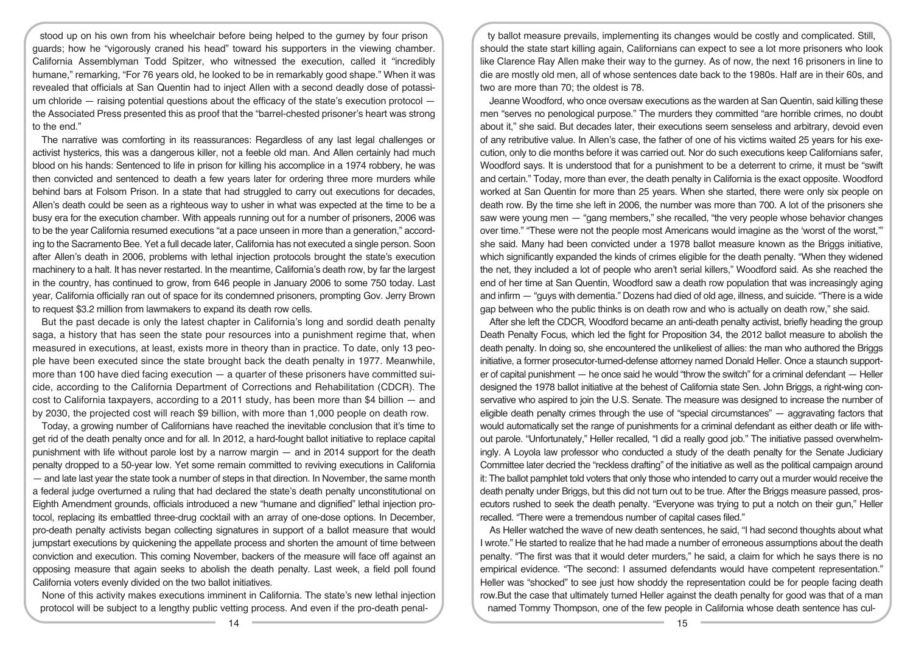stood up on his own from his wheelchair before being helped to the gurney by four prison guards; how he "vigorously craned his head" toward his supporters in the viewing chamber. California Assemblyman Todd Spitzer, who witnessed the execution, called it "incredibly humane," remarking, "For 76 years old, he looked to be in remarkably good shape." When it was revealed that officials at San Quentin had to inject Allen with a second deadly dose of potassium chloride — raising potential questions about the efficacy of the state's execution protocol the Associated Press presented this as proof that the "barrel-chested prisoner's heart was strong to the end."

The narrative was comforting in its reassurances: Regardless of any last legal challenges or activist hysterics, this was a dangerous killer, not a feeble old man. And Allen certainly had much blood on his hands: Sentenced to life in prison for killing his accomplice in a 1974 robbery, he was then convicted and sentenced to death a few years later for ordering three more murders while behind bars at Folsom Prison. In a state that had struggled to carry out executions for decades, Allen's death could be seen as a righteous way to usher in what was expected at the time to be a busy era for the execution chamber. With appeals running out for a number of prisoners, 2006 was to be the year California resumed executions "at a pace unseen in more than a generation," according to the Sacramento Bee. Yet a full decade later, California has not executed a single person. Soon after Allen's death in 2006, problems with lethal injection protocols brought the state's execution machinery to a halt. It has never restarted. In the meantime, California's death row, by far the largest in the country, has continued to grow, from 646 people in January 2006 to some 750 today. Last year, California officially ran out of space for its condemned prisoners, prompting Gov. Jerry Brown to request \$3.2 million from lawmakers to expand its death row cells.

But the past decade is only the latest chapter in California's long and sordid death penalty saga, a history that has seen the state pour resources into a punishment regime that, when measured in executions, at least, exists more in theory than in practice. To date, only 13 people have been executed since the state brought back the death penalty in 1977. Meanwhile, more than 100 have died facing execution — a quarter of these prisoners have committed suicide, according to the California Department of Corrections and Rehabilitation (CDCR). The cost to California taxpayers, according to a 2011 study, has been more than \$4 billion — and by 2030, the projected cost will reach \$9 billion, with more than 1,000 people on death row.

Today, a growing number of Californians have reached the inevitable conclusion that it's time to get rid of the death penalty once and for all. In 2012, a hard-fought ballot initiative to replace capital punishment with life without parole lost by a narrow margin — and in 2014 support for the death penalty dropped to a 50-year low. Yet some remain committed to reviving executions in California — and late last year the state took a number of steps in that direction. In November, the same month a federal judge overturned a ruling that had declared the state's death penalty unconstitutional on Eighth Amendment grounds, officials introduced a new "humane and dignified" lethal injection protocol, replacing its embattled three-drug cocktail with an array of one-dose options. In December, pro-death penalty activists began collecting signatures in support of a ballot measure that would jumpstart executions by quickening the appellate process and shorten the amount of time between conviction and execution. This coming November, backers of the measure will face off against an opposing measure that again seeks to abolish the death penalty. Last week, a field poll found California voters evenly divided on the two ballot initiatives.

None of this activity makes executions imminent in California. The state's new lethal injection protocol will be subject to a lengthy public vetting process. And even if the pro-death penal-

ty ballot measure prevails, implementing its changes would be costly and complicated. Still, should the state start killing again, Californians can expect to see a lot more prisoners who look like Clarence Ray Allen make their way to the gurney. As of now, the next 16 prisoners in line to die are mostly old men, all of whose sentences date back to the 1980s. Half are in their 60s, and two are more than 70; the oldest is 78.

Jeanne Woodford, who once oversaw executions as the warden at San Quentin, said killing these men "serves no penological purpose." The murders they committed "are horrible crimes, no doubt about it," she said. But decades later, their executions seem senseless and arbitrary, devoid even of any retributive value. In Allen's case, the father of one of his victims waited 25 years for his execution, only to die months before it was carried out. Nor do such executions keep Californians safer, Woodford says. It is understood that for a punishment to be a deterrent to crime, it must be "swift and certain." Today, more than ever, the death penalty in California is the exact opposite. Woodford worked at San Quentin for more than 25 years. When she started, there were only six people on death row. By the time she left in 2006, the number was more than 700. A lot of the prisoners she saw were young men — "gang members," she recalled, "the very people whose behavior changes over time." "These were not the people most Americans would imagine as the 'worst of the worst,'" she said. Many had been convicted under a 1978 ballot measure known as the Briggs initiative, which significantly expanded the kinds of crimes eligible for the death penalty. "When they widened the net, they included a lot of people who aren't serial killers," Woodford said. As she reached the end of her time at San Quentin, Woodford saw a death row population that was increasingly aging and infirm — "guys with dementia." Dozens had died of old age, illness, and suicide. "There is a wide gap between who the public thinks is on death row and who is actually on death row," she said.

After she left the CDCR, Woodford became an anti-death penalty activist, briefly heading the group Death Penalty Focus, which led the fight for Proposition 34, the 2012 ballot measure to abolish the death penalty. In doing so, she encountered the unlikeliest of allies: the man who authored the Briggs initiative, a former prosecutor-turned-defense attorney named Donald Heller. Once a staunch supporter of capital punishment — he once said he would "throw the switch" for a criminal defendant — Heller designed the 1978 ballot initiative at the behest of California state Sen. John Briggs, a right-wing conservative who aspired to join the U.S. Senate. The measure was designed to increase the number of eligible death penalty crimes through the use of "special circumstances" — aggravating factors that would automatically set the range of punishments for a criminal defendant as either death or life without parole. "Unfortunately," Heller recalled, "I did a really good job." The initiative passed overwhelmingly. A Loyola law professor who conducted a study of the death penalty for the Senate Judiciary Committee later decried the "reckless drafting" of the initiative as well as the political campaign around it: The ballot pamphlet told voters that only those who intended to carry out a murder would receive the death penalty under Briggs, but this did not turn out to be true. After the Briggs measure passed, prosecutors rushed to seek the death penalty. "Everyone was trying to put a notch on their gun," Heller recalled. "There were a tremendous number of capital cases filed."

As Heller watched the wave of new death sentences, he said, "I had second thoughts about what I wrote." He started to realize that he had made a number of erroneous assumptions about the death penalty. "The first was that it would deter murders," he said, a claim for which he says there is no empirical evidence. "The second: I assumed defendants would have competent representation." Heller was "shocked" to see just how shoddy the representation could be for people facing death row.But the case that ultimately turned Heller against the death penalty for good was that of a man named Tommy Thompson, one of the few people in California whose death sentence has cul-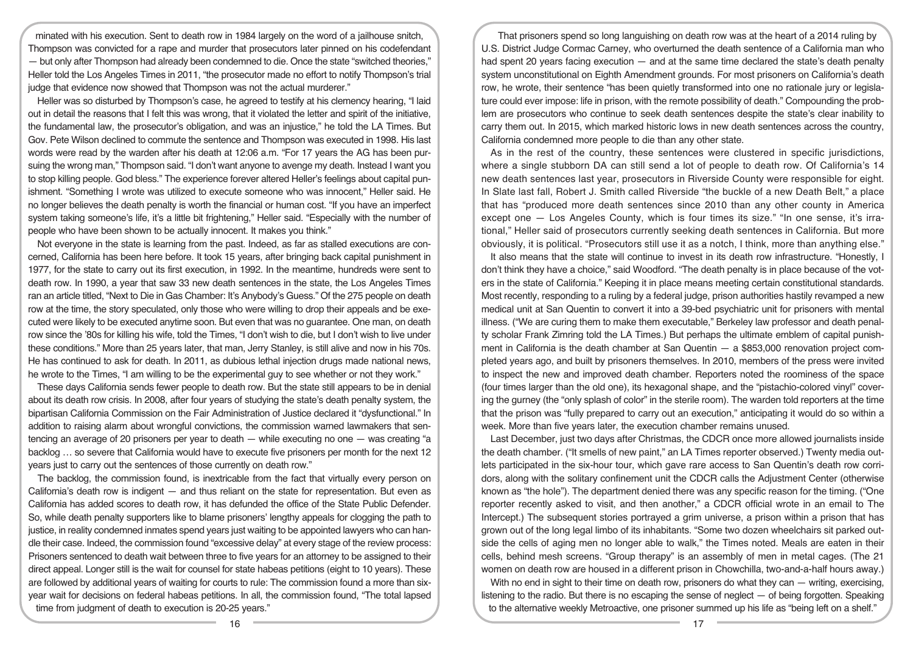minated with his execution. Sent to death row in 1984 largely on the word of a jailhouse snitch, Thompson was convicted for a rape and murder that prosecutors later pinned on his codefendant — but only after Thompson had already been condemned to die. Once the state "switched theories," Heller told the Los Angeles Times in 2011, "the prosecutor made no effort to notify Thompson's trial judge that evidence now showed that Thompson was not the actual murderer."

Heller was so disturbed by Thompson's case, he agreed to testify at his clemency hearing, "I laid out in detail the reasons that I felt this was wrong, that it violated the letter and spirit of the initiative, the fundamental law, the prosecutor's obligation, and was an injustice," he told the LA Times. But Gov. Pete Wilson declined to commute the sentence and Thompson was executed in 1998. His last words were read by the warden after his death at 12:06 a.m. "For 17 years the AG has been pursuing the wrong man," Thompson said. "I don't want anyone to avenge my death. Instead I want you to stop killing people. God bless." The experience forever altered Heller's feelings about capital punishment. "Something I wrote was utilized to execute someone who was innocent," Heller said. He no longer believes the death penalty is worth the financial or human cost. "If you have an imperfect system taking someone's life, it's a little bit frightening," Heller said. "Especially with the number of people who have been shown to be actually innocent. It makes you think."

Not everyone in the state is learning from the past. Indeed, as far as stalled executions are concerned, California has been here before. It took 15 years, after bringing back capital punishment in 1977, for the state to carry out its first execution, in 1992. In the meantime, hundreds were sent to death row. In 1990, a year that saw 33 new death sentences in the state, the Los Angeles Times ran an article titled, "Next to Die in Gas Chamber: It's Anybody's Guess." Of the 275 people on death row at the time, the story speculated, only those who were willing to drop their appeals and be executed were likely to be executed anytime soon. But even that was no guarantee. One man, on death row since the '80s for killing his wife, told the Times, "I don't wish to die, but I don't wish to live under these conditions." More than 25 years later, that man, Jerry Stanley, is still alive and now in his 70s. He has continued to ask for death. In 2011, as dubious lethal injection drugs made national news, he wrote to the Times, "I am willing to be the experimental guy to see whether or not they work."

These days California sends fewer people to death row. But the state still appears to be in denial about its death row crisis. In 2008, after four years of studying the state's death penalty system, the bipartisan California Commission on the Fair Administration of Justice declared it "dysfunctional." In addition to raising alarm about wrongful convictions, the commission warned lawmakers that sentencing an average of 20 prisoners per year to death — while executing no one — was creating "a backlog … so severe that California would have to execute five prisoners per month for the next 12 years just to carry out the sentences of those currently on death row."

The backlog, the commission found, is inextricable from the fact that virtually every person on California's death row is indigent — and thus reliant on the state for representation. But even as California has added scores to death row, it has defunded the office of the State Public Defender. So, while death penalty supporters like to blame prisoners' lengthy appeals for clogging the path to justice, in reality condemned inmates spend years just waiting to be appointed lawyers who can handle their case. Indeed, the commission found "excessive delay" at every stage of the review process: Prisoners sentenced to death wait between three to five years for an attorney to be assigned to their direct appeal. Longer still is the wait for counsel for state habeas petitions (eight to 10 years). These are followed by additional years of waiting for courts to rule: The commission found a more than sixyear wait for decisions on federal habeas petitions. In all, the commission found, "The total lapsed time from judgment of death to execution is 20-25 years."

That prisoners spend so long languishing on death row was at the heart of a 2014 ruling by U.S. District Judge Cormac Carney, who overturned the death sentence of a California man who had spent 20 years facing execution — and at the same time declared the state's death penalty system unconstitutional on Eighth Amendment grounds. For most prisoners on California's death row, he wrote, their sentence "has been quietly transformed into one no rationale jury or legislature could ever impose: life in prison, with the remote possibility of death." Compounding the problem are prosecutors who continue to seek death sentences despite the state's clear inability to carry them out. In 2015, which marked historic lows in new death sentences across the country, California condemned more people to die than any other state.

As in the rest of the country, these sentences were clustered in specific jurisdictions, where a single stubborn DA can still send a lot of people to death row. Of California's 14 new death sentences last year, prosecutors in Riverside County were responsible for eight. In Slate last fall, Robert J. Smith called Riverside "the buckle of a new Death Belt," a place that has "produced more death sentences since 2010 than any other county in America except one — Los Angeles County, which is four times its size." "In one sense, it's irrational," Heller said of prosecutors currently seeking death sentences in California. But more obviously, it is political. "Prosecutors still use it as a notch, I think, more than anything else."

It also means that the state will continue to invest in its death row infrastructure. "Honestly, I don't think they have a choice," said Woodford. "The death penalty is in place because of the voters in the state of California." Keeping it in place means meeting certain constitutional standards. Most recently, responding to a ruling by a federal judge, prison authorities hastily revamped a new medical unit at San Quentin to convert it into a 39-bed psychiatric unit for prisoners with mental illness. ("We are curing them to make them executable," Berkeley law professor and death penalty scholar Frank Zimring told the LA Times.) But perhaps the ultimate emblem of capital punishment in California is the death chamber at San Quentin — a \$853,000 renovation project completed years ago, and built by prisoners themselves. In 2010, members of the press were invited to inspect the new and improved death chamber. Reporters noted the roominess of the space (four times larger than the old one), its hexagonal shape, and the "pistachio-colored vinyl" covering the gurney (the "only splash of color" in the sterile room). The warden told reporters at the time that the prison was "fully prepared to carry out an execution," anticipating it would do so within a week. More than five years later, the execution chamber remains unused.

Last December, just two days after Christmas, the CDCR once more allowed journalists inside the death chamber. ("It smells of new paint," an LA Times reporter observed.) Twenty media outlets participated in the six-hour tour, which gave rare access to San Quentin's death row corridors, along with the solitary confinement unit the CDCR calls the Adjustment Center (otherwise known as "the hole"). The department denied there was any specific reason for the timing. ("One reporter recently asked to visit, and then another," a CDCR official wrote in an email to The Intercept.) The subsequent stories portrayed a grim universe, a prison within a prison that has grown out of the long legal limbo of its inhabitants. "Some two dozen wheelchairs sit parked outside the cells of aging men no longer able to walk," the Times noted. Meals are eaten in their cells, behind mesh screens. "Group therapy" is an assembly of men in metal cages. (The 21 women on death row are housed in a different prison in Chowchilla, two-and-a-half hours away.)

With no end in sight to their time on death row, prisoners do what they can — writing, exercising, listening to the radio. But there is no escaping the sense of neglect — of being forgotten. Speaking to the alternative weekly Metroactive, one prisoner summed up his life as "being left on a shelf."